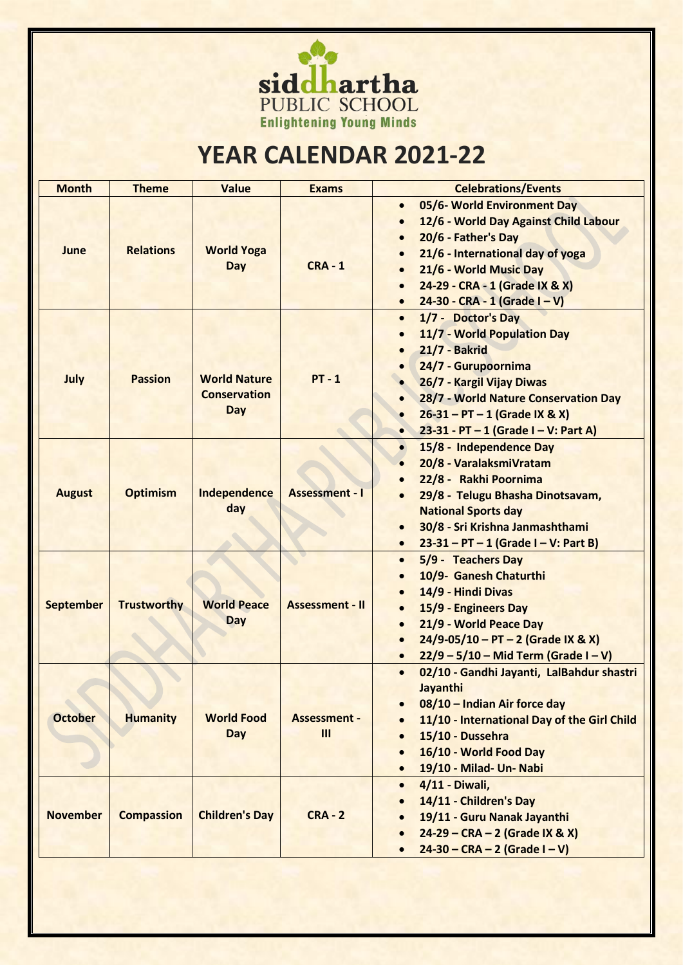

## **YEAR CALENDAR 2021-22**

| <b>Month</b>     | <b>Theme</b>       | <b>Value</b>                                      | <b>Exams</b>               | <b>Celebrations/Events</b>                                                                                                                                                                                                                                                                               |
|------------------|--------------------|---------------------------------------------------|----------------------------|----------------------------------------------------------------------------------------------------------------------------------------------------------------------------------------------------------------------------------------------------------------------------------------------------------|
| June             | <b>Relations</b>   | <b>World Yoga</b><br>Day                          | $CRA - 1$                  | 05/6- World Environment Day<br>$\bullet$<br>12/6 - World Day Against Child Labour<br>$\bullet$<br>20/6 - Father's Day<br>$\bullet$<br>21/6 - International day of yoga<br>$\bullet$<br>21/6 - World Music Day<br>24-29 - CRA - 1 (Grade IX & X)<br>$24-30 - CRA - 1$ (Grade I - V)<br>$\bullet$          |
| July             | <b>Passion</b>     | <b>World Nature</b><br><b>Conservation</b><br>Day | $PT - 1$                   | 1/7 - Doctor's Day<br>$\bullet$<br>11/7 - World Population Day<br><b>21/7 - Bakrid</b><br>24/7 - Gurupoornima<br>26/7 - Kargil Vijay Diwas<br>28/7 - World Nature Conservation Day<br>$\bullet$<br>$26-31 - PT - 1$ (Grade IX & X)<br>$\bullet$<br>23-31 - PT $-$ 1 (Grade I $-$ V: Part A)<br>$\bullet$ |
| <b>August</b>    | <b>Optimism</b>    | Independence<br>day                               | <b>Assessment - I</b>      | 15/8 - Independence Day<br>$\bullet$<br>20/8 - VaralaksmiVratam<br>22/8 - Rakhi Poornima<br>29/8 - Telugu Bhasha Dinotsavam,<br><b>National Sports day</b><br>30/8 - Sri Krishna Janmashthami<br>$\bullet$<br>$23-31 - PT - 1$ (Grade I – V: Part B)<br>$\bullet$                                        |
| <b>September</b> | <b>Trustworthy</b> | <b>World Peace</b><br>Day                         | <b>Assessment - II</b>     | 5/9 - Teachers Day<br>$\bullet$<br>10/9- Ganesh Chaturthi<br>$\bullet$<br>14/9 - Hindi Divas<br>15/9 - Engineers Day<br>$\bullet$<br>21/9 - World Peace Day<br>$\bullet$<br>$24/9-05/10 - PT - 2$ (Grade IX & X)<br>$\bullet$<br>$22/9 - 5/10 - Mid Term (Grade I - V)$<br>$\bullet$                     |
| <b>October</b>   | <b>Humanity</b>    | <b>World Food</b><br><b>Day</b>                   | <b>Assessment -</b><br>III | 02/10 - Gandhi Jayanti, LalBahdur shastri<br>$\bullet$<br>Jayanthi<br>08/10 - Indian Air force day<br>$\bullet$<br>11/10 - International Day of the Girl Child<br>15/10 - Dussehra<br>16/10 - World Food Day<br>$\bullet$<br>19/10 - Milad- Un- Nabi<br>$\bullet$                                        |
| <b>November</b>  | <b>Compassion</b>  | <b>Children's Day</b>                             | $CRA - 2$                  | 4/11 - Diwali,<br>$\bullet$<br>14/11 - Children's Day<br>19/11 - Guru Nanak Jayanthi<br>24-29 - CRA - 2 (Grade IX & X)<br>$\bullet$<br>$24-30 - CRA - 2$ (Grade I – V)                                                                                                                                   |